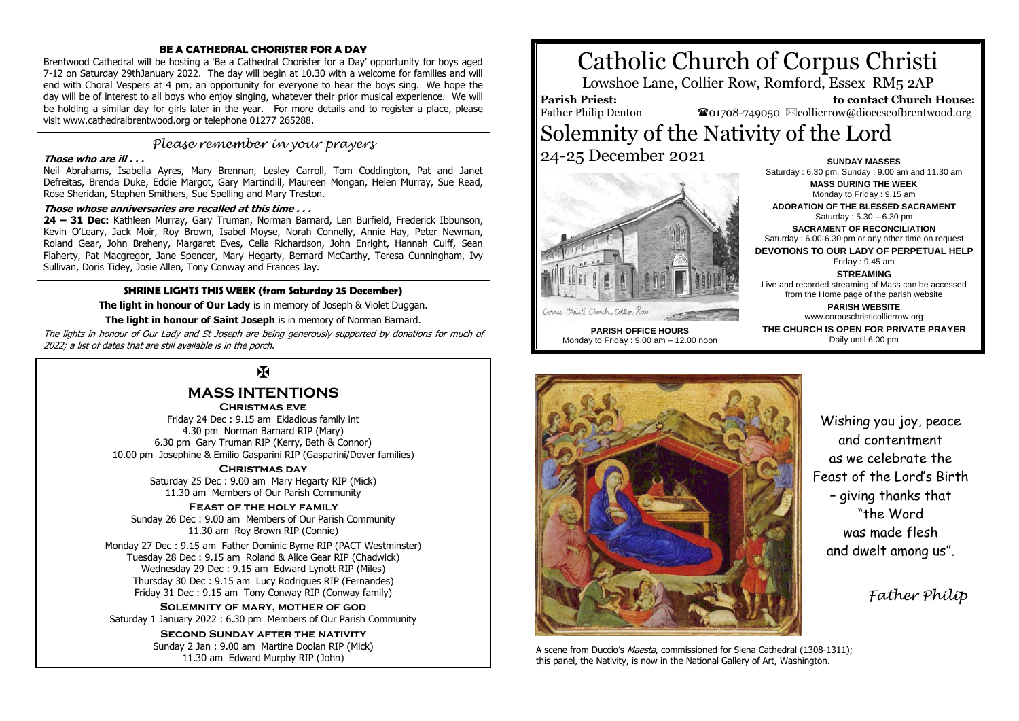#### **BE A CATHEDRAL CHORISTER FOR A DAY**

Brentwood Cathedral will be hosting a 'Be a Cathedral Chorister for a Day' opportunity for boys aged 7-12 on Saturday 29thJanuary 2022. The day will begin at 10.30 with a welcome for families and will end with Choral Vespers at 4 pm, an opportunity for everyone to hear the boys sing. We hope the day will be of interest to all boys who enjoy singing, whatever their prior musical experience. We will be holding a similar day for girls later in the year. For more details and to register a place, please visit www.cathedralbrentwood.org or telephone 01277 265288.

## *Please remember in your prayers*

#### **Those who are ill . . .**

Neil Abrahams, Isabella Ayres, Mary Brennan, Lesley Carroll, Tom Coddington, Pat and Janet Defreitas, Brenda Duke, Eddie Margot, Gary Martindill, Maureen Mongan, Helen Murray, Sue Read, Rose Sheridan, Stephen Smithers, Sue Spelling and Mary Treston.

#### **Those whose anniversaries are recalled at this time . . .**

**24 – 31 Dec:** Kathleen Murray, Gary Truman, Norman Barnard, Len Burfield, Frederick Ibbunson, Kevin O'Leary, Jack Moir, Roy Brown, Isabel Moyse, Norah Connelly, Annie Hay, Peter Newman, Roland Gear, John Breheny, Margaret Eves, Celia Richardson, John Enright, Hannah Culff, Sean Flaherty, Pat Macgregor, Jane Spencer, Mary Hegarty, Bernard McCarthy, Teresa Cunningham, Ivy Sullivan, Doris Tidey, Josie Allen, Tony Conway and Frances Jay.

#### **SHRINE LIGHTS THIS WEEK (from Saturday 25 December)**

**The light in honour of Our Lady** is in memory of Joseph & Violet Duggan.

**The light in honour of Saint Joseph** is in memory of Norman Barnard.

The lights in honour of Our Lady and St Joseph are being generously supported by donations for much of 2022; a list of dates that are still available is in the porch.

## $\mathbf F$

## **MASS INTENTIONS**

**Christmas eve** Friday 24 Dec : 9.15 am Ekladious family int 4.30 pm Norman Barnard RIP (Mary) 6.30 pm Gary Truman RIP (Kerry, Beth & Connor) 10.00 pm Josephine & Emilio Gasparini RIP (Gasparini/Dover families)

> **Christmas day** Saturday 25 Dec : 9.00 am Mary Hegarty RIP (Mick) 11.30 am Members of Our Parish Community

**Feast of the holy family** Sunday 26 Dec : 9.00 am Members of Our Parish Community 11.30 am Roy Brown RIP (Connie)

Monday 27 Dec : 9.15 am Father Dominic Byrne RIP (PACT Westminster) Tuesday 28 Dec : 9.15 am Roland & Alice Gear RIP (Chadwick) Wednesday 29 Dec : 9.15 am Edward Lynott RIP (Miles) Thursday 30 Dec : 9.15 am Lucy Rodrigues RIP (Fernandes) Friday 31 Dec : 9.15 am Tony Conway RIP (Conway family)

**Solemnity of mary, mother of god** Saturday 1 January 2022 : 6.30 pm Members of Our Parish Community

> **Second Sunday after the nativity** Sunday 2 Jan : 9.00 am Martine Doolan RIP (Mick) 11.30 am Edward Murphy RIP (John)

# Catholic Church of Corpus Christi

Lowshoe Lane, Collier Row, Romford, Essex RM5 2AP

#### **Parish Priest:** Father Philip Denton

 **to contact Church House:**  $\mathbf{\Omega}_{01708\text{-}749050}$   $\boxtimes$  collierrow@dioceseofbrentwood.org

## Solemnity of the Nativity of the Lord 24-25 December 2021 **SUNDAY MASSES**



**PARISH OFFICE HOURS** Monday to Friday : 9.00 am – 12.00 noon

**MASS DURING THE WEEK** Monday to Friday : 9.15 am **ADORATION OF THE BLESSED SACRAMENT** Saturday : 5.30 – 6.30 pm **SACRAMENT OF RECONCILIATION** Saturday : 6.00-6.30 pm or any other time on request **DEVOTIONS TO OUR LADY OF PERPETUAL HELP** Friday : 9.45 am **STREAMING** Live and recorded streaming of Mass can be accessed from the Home page of the parish website

Saturday : 6.30 pm, Sunday : 9.00 am and 11.30 am

**PARISH WEBSITE** www.corpuschristicollierrow.org **THE CHURCH IS OPEN FOR PRIVATE PRAYER** Daily until 6.00 pm



A scene from Duccio's *Maesta*, commissioned for Siena Cathedral (1308-1311); this panel, the Nativity, is now in the National Gallery of Art, Washington.

Wishing you joy, peace and contentment as we celebrate the Feast of the Lord's Birth – giving thanks that "the Word was made flesh and dwelt among us".

 *Father Philip*